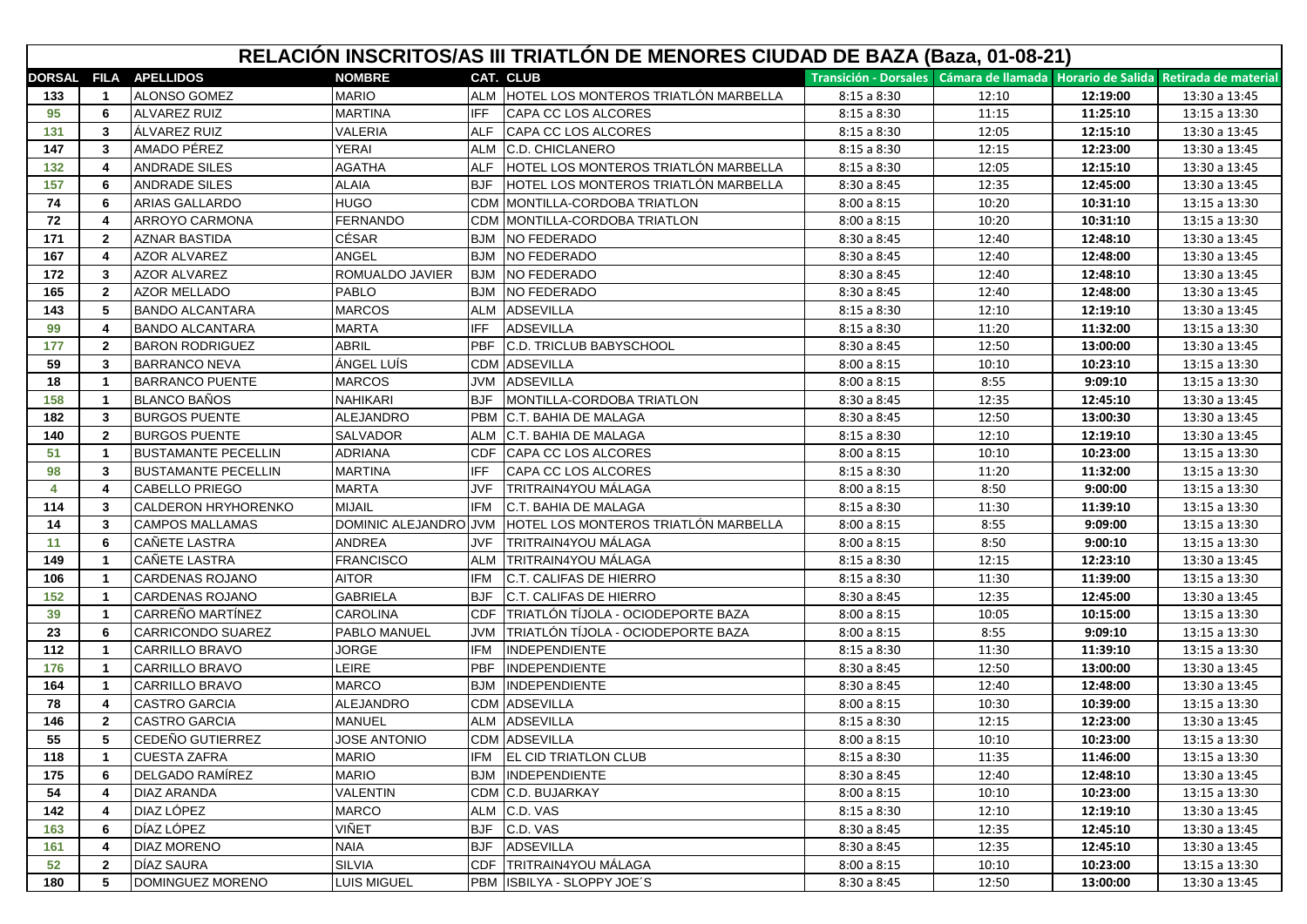|               | RELACIÓN INSCRITOS/AS III TRIATLÓN DE MENORES CIUDAD DE BAZA (Baza, 01-08-21) |                            |                       |            |                                          |                                                                                      |       |          |               |
|---------------|-------------------------------------------------------------------------------|----------------------------|-----------------------|------------|------------------------------------------|--------------------------------------------------------------------------------------|-------|----------|---------------|
| <b>DORSAL</b> |                                                                               | <b>FILA APELLIDOS</b>      | <b>NOMBRE</b>         |            | <b>CAT. CLUB</b>                         | Transición - Dorsales   Cámara de llamada   Horario de Salida   Retirada de material |       |          |               |
| 133           | $\mathbf{1}$                                                                  | <b>ALONSO GOMEZ</b>        | <b>MARIO</b>          |            | ALM HOTEL LOS MONTEROS TRIATLÓN MARBELLA | 8:15a8:30                                                                            | 12:10 | 12:19:00 | 13:30 a 13:45 |
| 95            | 6                                                                             | ALVAREZ RUIZ               | <b>MARTINA</b>        | <b>IFF</b> | CAPA CC LOS ALCORES                      | 8:15a8:30                                                                            | 11:15 | 11:25:10 | 13:15 a 13:30 |
| 131           | 3                                                                             | ÁLVAREZ RUIZ               | <b>VALERIA</b>        | <b>ALF</b> | CAPA CC LOS ALCORES                      | 8:15a8:30                                                                            | 12:05 | 12:15:10 | 13:30 a 13:45 |
| 147           | 3                                                                             | AMADO PÉREZ                | <b>YERAI</b>          | <b>ALM</b> | <b>C.D. CHICLANERO</b>                   | 8:15a8:30                                                                            | 12:15 | 12:23:00 | 13:30 a 13:45 |
| 132           | 4                                                                             | <b>ANDRADE SILES</b>       | <b>AGATHA</b>         | <b>ALF</b> | HOTEL LOS MONTEROS TRIATLÓN MARBELLA     | 8:15a8:30                                                                            | 12:05 | 12:15:10 | 13:30 a 13:45 |
| 157           | 6                                                                             | <b>ANDRADE SILES</b>       | <b>ALAIA</b>          | <b>BJF</b> | HOTEL LOS MONTEROS TRIATLÓN MARBELLA     | 8:30 a 8:45                                                                          | 12:35 | 12:45:00 | 13:30 a 13:45 |
| 74            | 6                                                                             | <b>ARIAS GALLARDO</b>      | <b>HUGO</b>           | CDM        | MONTILLA-CORDOBA TRIATLON                | 8:00 a 8:15                                                                          | 10:20 | 10:31:10 | 13:15 a 13:30 |
| 72            | 4                                                                             | ARROYO CARMONA             | <b>FERNANDO</b>       | CDM        | MONTILLA-CORDOBA TRIATLON                | 8:00a8:15                                                                            | 10:20 | 10:31:10 | 13:15 a 13:30 |
| 171           | $\overline{\mathbf{2}}$                                                       | AZNAR BASTIDA              | <b>CÉSAR</b>          | <b>BJM</b> | NO FEDERADO                              | 8:30a8:45                                                                            | 12:40 | 12:48:10 | 13:30 a 13:45 |
| 167           | 4                                                                             | <b>AZOR ALVAREZ</b>        | <b>ANGEL</b>          | <b>BJM</b> | NO FEDERADO                              | 8:30a8:45                                                                            | 12:40 | 12:48:00 | 13:30 a 13:45 |
| 172           | 3                                                                             | <b>AZOR ALVAREZ</b>        | ROMUALDO JAVIER       | <b>BJM</b> | <b>NO FEDERADO</b>                       | 8:30 a 8:45                                                                          | 12:40 | 12:48:10 | 13:30 a 13:45 |
| 165           | $\overline{2}$                                                                | <b>AZOR MELLADO</b>        | PABLO                 | <b>BJM</b> | <b>NO FEDERADO</b>                       | 8:30 a 8:45                                                                          | 12:40 | 12:48:00 | 13:30 a 13:45 |
| 143           | 5                                                                             | <b>BANDO ALCANTARA</b>     | <b>MARCOS</b>         | ALM        | <b>ADSEVILLA</b>                         | 8:15a8:30                                                                            | 12:10 | 12:19:10 | 13:30 a 13:45 |
| 99            | 4                                                                             | <b>BANDO ALCANTARA</b>     | <b>MARTA</b>          | <b>IFF</b> | ADSEVILLA                                | 8:15a8:30                                                                            | 11:20 | 11:32:00 | 13:15 a 13:30 |
| 177           | $\overline{2}$                                                                | <b>BARON RODRIGUEZ</b>     | <b>ABRIL</b>          | <b>PBF</b> | C.D. TRICLUB BABYSCHOOL                  | 8:30 a 8:45                                                                          | 12:50 | 13:00:00 | 13:30 a 13:45 |
| 59            | 3                                                                             | <b>BARRANCO NEVA</b>       | ÁNGEL LUÍS            | CDM        | <b>ADSEVILLA</b>                         | 8:00a8:15                                                                            | 10:10 | 10:23:10 | 13:15 a 13:30 |
| 18            | -1                                                                            | <b>BARRANCO PUENTE</b>     | <b>MARCOS</b>         | <b>JVM</b> | <b>ADSEVILLA</b>                         | 8:00a8:15                                                                            | 8:55  | 9:09:10  | 13:15 a 13:30 |
| 158           | -1                                                                            | <b>BLANCO BAÑOS</b>        | <b>NAHIKARI</b>       | <b>BJF</b> | MONTILLA-CORDOBA TRIATLON                | 8:30 a 8:45                                                                          | 12:35 | 12:45:10 | 13:30 a 13:45 |
| 182           | 3                                                                             | <b>BURGOS PUENTE</b>       | <b>ALEJANDRO</b>      | <b>PBM</b> | C.T. BAHIA DE MALAGA                     | 8:30 a 8:45                                                                          | 12:50 | 13:00:30 | 13:30 a 13:45 |
| 140           | $\overline{2}$                                                                | <b>BURGOS PUENTE</b>       | <b>SALVADOR</b>       | ALM        | C.T. BAHIA DE MALAGA                     | 8:15a8:30                                                                            | 12:10 | 12:19:10 | 13:30 a 13:45 |
| 51            | -1                                                                            | <b>BUSTAMANTE PECELLIN</b> | <b>ADRIANA</b>        | CDF        | CAPA CC LOS ALCORES                      | 8:00a8:15                                                                            | 10:10 | 10:23:00 | 13:15 a 13:30 |
| 98            | -3                                                                            | <b>BUSTAMANTE PECELLIN</b> | <b>MARTINA</b>        | <b>IFF</b> | CAPA CC LOS ALCORES                      | 8:15a8:30                                                                            | 11:20 | 11:32:00 | 13:15 a 13:30 |
| 4             | 4                                                                             | <b>CABELLO PRIEGO</b>      | <b>MARTA</b>          | JVF        | TRITRAIN4YOU MÁLAGA                      | 8:00a8:15                                                                            | 8:50  | 9:00:00  | 13:15 a 13:30 |
| 114           | 3                                                                             | CALDERON HRYHORENKO        | <b>MIJAIL</b>         | <b>IFM</b> | C.T. BAHIA DE MALAGA                     | 8:15a8:30                                                                            | 11:30 | 11:39:10 | 13:15 a 13:30 |
| 14            | 3                                                                             | <b>CAMPOS MALLAMAS</b>     | DOMINIC ALEJANDRO JVM |            | HOTEL LOS MONTEROS TRIATLÓN MARBELLA     | 8:00a8:15                                                                            | 8:55  | 9:09:00  | 13:15 a 13:30 |
| 11            | 6                                                                             | <b>CANETE LASTRA</b>       | ANDREA                | JVF.       | TRITRAIN4YOU MÁLAGA                      | 8:00a8:15                                                                            | 8:50  | 9:00:10  | 13:15 a 13:30 |
| 149           | -1                                                                            | <b>CANETE LASTRA</b>       | <b>FRANCISCO</b>      | <b>ALM</b> | TRITRAIN4YOU MÁLAGA                      | 8:15a8:30                                                                            | 12:15 | 12:23:10 | 13:30 a 13:45 |
| 106           | $\overline{\mathbf{1}}$                                                       | <b>CARDENAS ROJANO</b>     | <b>AITOR</b>          | IFM        | C.T. CALIFAS DE HIERRO                   | 8:15a8:30                                                                            | 11:30 | 11:39:00 | 13:15 a 13:30 |
| 152           | -1                                                                            | <b>CARDENAS ROJANO</b>     | <b>GABRIELA</b>       | <b>BJF</b> | C.T. CALIFAS DE HIERRO                   | 8:30a8:45                                                                            | 12:35 | 12:45:00 | 13:30 a 13:45 |
| 39            | $\overline{\mathbf{1}}$                                                       | CARREÑO MARTÍNEZ           | <b>CAROLINA</b>       | CDF        | TRIATLÓN TÍJOLA - OCIODEPORTE BAZA       | 8:00a8:15                                                                            | 10:05 | 10:15:00 | 13:15 a 13:30 |
| 23            | 6                                                                             | CARRICONDO SUAREZ          | PABLO MANUEL          | <b>JVM</b> | TRIATLÓN TÍJOLA - OCIODEPORTE BAZA       | 8:00a8:15                                                                            | 8:55  | 9:09:10  | 13:15 a 13:30 |
| 112           | -1                                                                            | CARRILLO BRAVO             | <b>JORGE</b>          | IFM        | <b>INDEPENDIENTE</b>                     | 8:15 a 8:30                                                                          | 11:30 | 11:39:10 | 13:15 a 13:30 |
| 176           | -1                                                                            | CARRILLO BRAVO             | <b>LEIRE</b>          | <b>PBF</b> | <b>INDEPENDIENTE</b>                     | 8:30 a 8:45                                                                          | 12:50 | 13:00:00 | 13:30 a 13:45 |
| 164           | -1                                                                            | CARRILLO BRAVO             | <b>MARCO</b>          | <b>BJM</b> | <b>INDEPENDIENTE</b>                     | 8:30a8:45                                                                            | 12:40 | 12:48:00 | 13:30 a 13:45 |
| 78            | Δ                                                                             | <b>ICASTRO GARCIA</b>      | ALEJANDRO             | CDM        | <b>ADSEVILLA</b>                         | 8:00a8:15                                                                            | 10:30 | 10:39:00 | 13:15 a 13:30 |
| 146           | $\overline{2}$                                                                | <b>CASTRO GARCIA</b>       | <b>MANUEL</b>         | ALM        | <b>ADSEVILLA</b>                         | 8:15a8:30                                                                            | 12:15 | 12:23:00 | 13:30 a 13:45 |
| 55            | 5 <sub>5</sub>                                                                | CEDEÑO GUTIERREZ           | <b>JOSE ANTONIO</b>   |            | CDM ADSEVILLA                            | 8:00a8:15                                                                            | 10:10 | 10:23:00 | 13:15 a 13:30 |
| 118           | -1                                                                            | <b>CUESTA ZAFRA</b>        | <b>MARIO</b>          |            | IFM EL CID TRIATLON CLUB                 | 8:15a8:30                                                                            | 11:35 | 11:46:00 | 13:15 a 13:30 |
| 175           | 6                                                                             | DELGADO RAMÍREZ            | <b>MARIO</b>          |            | <b>BJM INDEPENDIENTE</b>                 | 8:30 a 8:45                                                                          | 12:40 | 12:48:10 | 13:30 a 13:45 |
| 54            | 4                                                                             | <b>DIAZ ARANDA</b>         | <b>VALENTIN</b>       |            | CDM C.D. BUJARKAY                        | 8:00a8:15                                                                            | 10:10 | 10:23:00 | 13:15 a 13:30 |
| 142           | 4                                                                             | DIAZ LÓPEZ                 | <b>MARCO</b>          |            | ALM C.D. VAS                             | 8:15a8:30                                                                            | 12:10 | 12:19:10 | 13:30 a 13:45 |
| 163           | 6                                                                             | DÍAZ LÓPEZ                 | VIÑET                 |            | BJF C.D. VAS                             | 8:30 a 8:45                                                                          | 12:35 | 12:45:10 | 13:30 a 13:45 |
| 161           | 4                                                                             | <b>DIAZ MORENO</b>         | <b>NAIA</b>           |            | <b>BJF ADSEVILLA</b>                     | 8:30 a 8:45                                                                          | 12:35 | 12:45:10 | 13:30 a 13:45 |
| 52            | $\overline{2}$                                                                | DÍAZ SAURA                 | <b>SILVIA</b>         |            | CDF TRITRAIN4YOU MÁLAGA                  | 8:00a8:15                                                                            | 10:10 | 10:23:00 | 13:15 a 13:30 |
| 180           | 5                                                                             | DOMINGUEZ MORENO           | <b>LUIS MIGUEL</b>    |            | PBM ISBILYA - SLOPPY JOE'S               | 8:30 a 8:45                                                                          | 12:50 | 13:00:00 | 13:30 a 13:45 |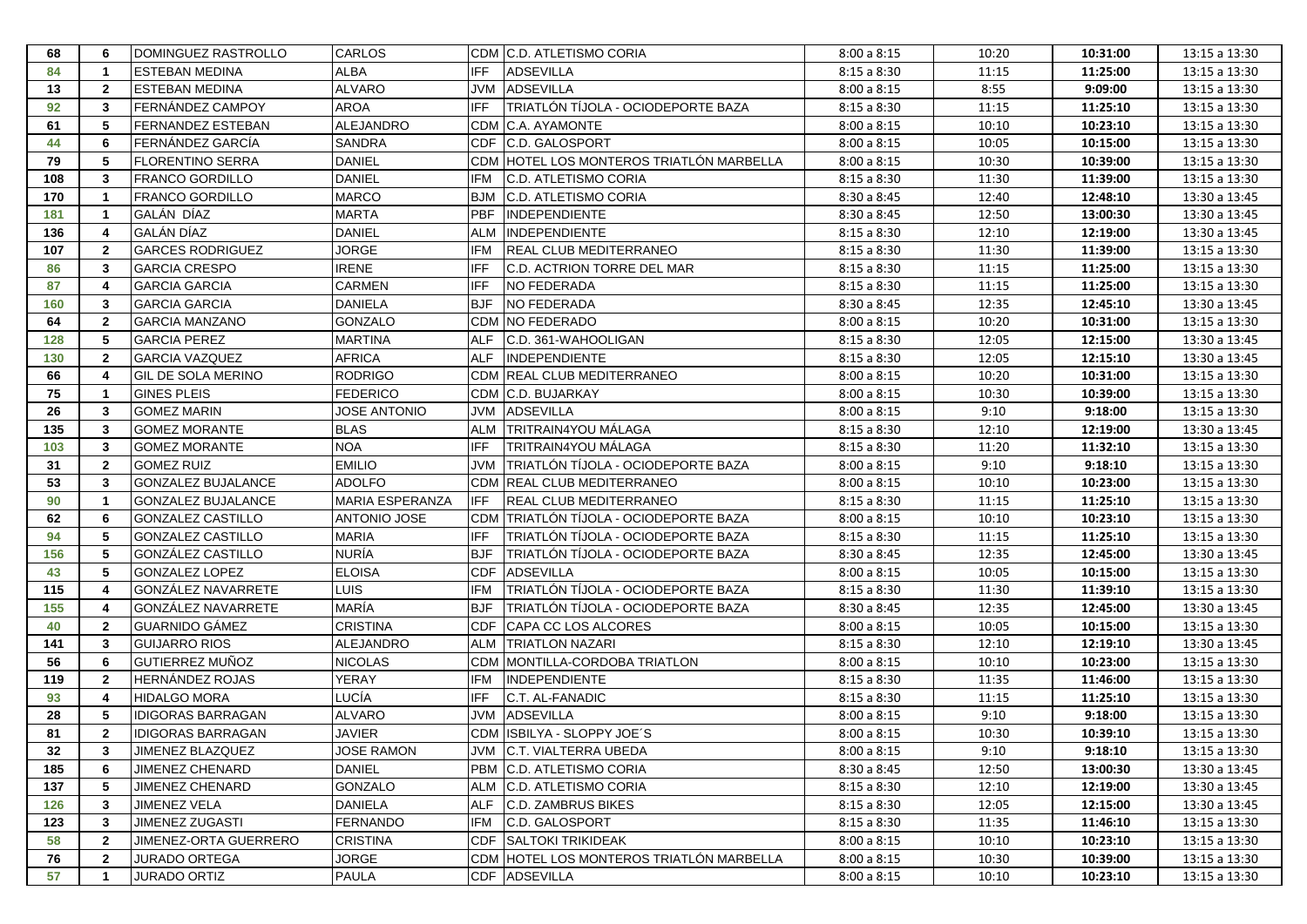| 68  | -6                      | DOMINGUEZ RASTROLLO       | <b>CARLOS</b>       |            | CDM C.D. ATLETISMO CORIA                  | 8:00a8:15   | 10:20 | 10:31:00 | 13:15 a 13:30 |
|-----|-------------------------|---------------------------|---------------------|------------|-------------------------------------------|-------------|-------|----------|---------------|
| 84  | $\overline{\mathbf{1}}$ | <b>ESTEBAN MEDINA</b>     | <b>ALBA</b>         | IFF        | <b>ADSEVILLA</b>                          | 8:15a8:30   | 11:15 | 11:25:00 | 13:15 a 13:30 |
| 13  | $\overline{2}$          | <b>ESTEBAN MEDINA</b>     | <b>ALVARO</b>       |            | JVM ADSEVILLA                             | 8:00a8:15   | 8:55  | 9:09:00  | 13:15 a 13:30 |
| 92  | 3                       | FERNÁNDEZ CAMPOY          | <b>AROA</b>         | <b>IFF</b> | <b>TRIATLÓN TÍJOLA - OCIODEPORTE BAZA</b> | 8:15a8:30   | 11:15 | 11:25:10 | 13:15 a 13:30 |
| 61  | 5                       | <b>FERNANDEZ ESTEBAN</b>  | <b>ALEJANDRO</b>    |            | CDM IC.A. AYAMONTE                        | 8:00a8:15   | 10:10 | 10:23:10 | 13:15 a 13:30 |
| 44  | 6                       | <b>FERNÁNDEZ GARCÍA</b>   | <b>SANDRA</b>       |            | CDF C.D. GALOSPORT                        | 8:00a8:15   | 10:05 | 10:15:00 | 13:15 a 13:30 |
| 79  | 5                       | <b>FLORENTINO SERRA</b>   | <b>DANIEL</b>       |            | CDM HOTEL LOS MONTEROS TRIATLÓN MARBELLA  | 8:00a8:15   | 10:30 | 10:39:00 | 13:15 a 13:30 |
| 108 | 3                       | <b>FRANCO GORDILLO</b>    | <b>DANIEL</b>       | <b>IFM</b> | C.D. ATLETISMO CORIA                      | 8:15a8:30   | 11:30 | 11:39:00 | 13:15 a 13:30 |
| 170 | $\overline{\mathbf{1}}$ | <b>FRANCO GORDILLO</b>    | <b>MARCO</b>        | <b>BJM</b> | <b>C.D. ATLETISMO CORIA</b>               | 8:30 a 8:45 | 12:40 | 12:48:10 | 13:30 a 13:45 |
| 181 | $\overline{\mathbf{1}}$ | GALÁN DÍAZ                | <b>MARTA</b>        | <b>PBF</b> | <b>INDEPENDIENTE</b>                      | 8:30 a 8:45 | 12:50 | 13:00:30 | 13:30 a 13:45 |
| 136 | 4                       | GALÁN DÍAZ                | <b>DANIEL</b>       | <b>ALM</b> | <b>INDEPENDIENTE</b>                      | 8:15a8:30   | 12:10 | 12:19:00 | 13:30 a 13:45 |
| 107 | $\overline{2}$          | <b>GARCES RODRIGUEZ</b>   | <b>JORGE</b>        | <b>IFM</b> | <b>REAL CLUB MEDITERRANEO</b>             | 8:15a8:30   | 11:30 | 11:39:00 | 13:15 a 13:30 |
| 86  | 3                       | <b>GARCIA CRESPO</b>      | <b>IRENE</b>        | <b>IFF</b> | C.D. ACTRION TORRE DEL MAR                | 8:15a8:30   | 11:15 | 11:25:00 | 13:15 a 13:30 |
| 87  | 4                       | <b>GARCIA GARCIA</b>      | <b>CARMEN</b>       | <b>IFF</b> | <b>NO FEDERADA</b>                        | 8:15a8:30   | 11:15 | 11:25:00 | 13:15 a 13:30 |
| 160 | $\overline{3}$          | <b>GARCIA GARCIA</b>      | <b>DANIELA</b>      | <b>BJF</b> | <b>NO FEDERADA</b>                        | 8:30a8:45   | 12:35 | 12:45:10 | 13:30 a 13:45 |
| 64  | $\overline{2}$          | <b>GARCIA MANZANO</b>     | <b>GONZALO</b>      |            | <b>CDM NO FEDERADO</b>                    | 8:00a8:15   | 10:20 | 10:31:00 | 13:15 a 13:30 |
| 128 | 5                       | <b>GARCIA PEREZ</b>       | <b>MARTINA</b>      | <b>ALF</b> | C.D. 361-WAHOOLIGAN                       | 8:15a8:30   | 12:05 | 12:15:00 | 13:30 a 13:45 |
| 130 | $\overline{2}$          | <b>GARCIA VAZQUEZ</b>     | <b>AFRICA</b>       | <b>ALF</b> | <b>INDEPENDIENTE</b>                      | 8:15a8:30   | 12:05 | 12:15:10 | 13:30 a 13:45 |
| 66  | 4                       | <b>GIL DE SOLA MERINO</b> | <b>RODRIGO</b>      |            | CDM REAL CLUB MEDITERRANEO                | 8:00a8:15   | 10:20 | 10:31:00 | 13:15 a 13:30 |
| 75  | $\overline{1}$          | <b>GINES PLEIS</b>        | <b>FEDERICO</b>     |            | CDM C.D. BUJARKAY                         | 8:00a8:15   | 10:30 | 10:39:00 | 13:15 a 13:30 |
| 26  | 3                       | <b>GOMEZ MARIN</b>        | <b>JOSE ANTONIO</b> | JVM        | <b>ADSEVILLA</b>                          | 8:00a8:15   | 9:10  | 9:18:00  | 13:15 a 13:30 |
| 135 | 3                       | <b>GOMEZ MORANTE</b>      | <b>BLAS</b>         | <b>ALM</b> | TRITRAIN4YOU MÁLAGA                       | 8:15a8:30   | 12:10 | 12:19:00 | 13:30 a 13:45 |
| 103 | 3                       | <b>GOMEZ MORANTE</b>      | <b>NOA</b>          | <b>IFF</b> | <b>TRITRAIN4YOU MÁLAGA</b>                | 8:15a8:30   | 11:20 | 11:32:10 | 13:15 a 13:30 |
| 31  | $\overline{2}$          | <b>GOMEZ RUIZ</b>         | <b>EMILIO</b>       | <b>JVM</b> | TRIATLÓN TÍJOLA - OCIODEPORTE BAZA        | 8:00a8:15   | 9:10  | 9:18:10  | 13:15 a 13:30 |
| 53  | 3                       | <b>GONZALEZ BUJALANCE</b> | <b>ADOLFO</b>       |            | CDM REAL CLUB MEDITERRANEO                | 8:00a8:15   | 10:10 | 10:23:00 | 13:15 a 13:30 |
| 90  | $\overline{1}$          | <b>GONZALEZ BUJALANCE</b> | MARIA ESPERANZA     | IFF        | <b>REAL CLUB MEDITERRANEO</b>             | 8:15a8:30   | 11:15 | 11:25:10 | 13:15 a 13:30 |
| 62  | 6                       | <b>GONZALEZ CASTILLO</b>  | <b>ANTONIO JOSE</b> |            | CDM   TRIATLÓN TÍJOLA - OCIODEPORTE BAZA  | 8:00a8:15   | 10:10 | 10:23:10 | 13:15 a 13:30 |
| 94  | 5                       | <b>GONZALEZ CASTILLO</b>  | <b>MARIA</b>        | <b>IFF</b> | TRIATLÓN TÍJOLA - OCIODEPORTE BAZA        | 8:15a8:30   | 11:15 | 11:25:10 | 13:15 a 13:30 |
| 156 | 5                       | GONZÁLEZ CASTILLO         | <b>NURÍA</b>        | <b>BJF</b> | TRIATLÓN TÍJOLA - OCIODEPORTE BAZA        | 8:30 a 8:45 | 12:35 | 12:45:00 | 13:30 a 13:45 |
| 43  | 5                       | <b>GONZALEZ LOPEZ</b>     | <b>ELOISA</b>       | <b>CDF</b> | <b>ADSEVILLA</b>                          | 8:00a8:15   | 10:05 | 10:15:00 | 13:15 a 13:30 |
| 115 | 4                       | GONZÁLEZ NAVARRETE        | <b>LUIS</b>         | <b>IFM</b> | TRIATLÓN TÍJOLA - OCIODEPORTE BAZA        | 8:15a8:30   | 11:30 | 11:39:10 | 13:15 a 13:30 |
| 155 | 4                       | GONZÁLEZ NAVARRETE        | MARÍA               | <b>BJF</b> | TRIATLÓN TÍJOLA - OCIODEPORTE BAZA        | 8:30 a 8:45 | 12:35 | 12:45:00 | 13:30 a 13:45 |
| 40  | $\overline{2}$          | <b>GUARNIDO GÁMEZ</b>     | <b>CRISTINA</b>     | <b>CDF</b> | CAPA CC LOS ALCORES                       | 8:00a8:15   | 10:05 | 10:15:00 | 13:15 a 13:30 |
| 141 | 3                       | <b>GUIJARRO RIOS</b>      | <b>ALEJANDRO</b>    | <b>ALM</b> | <b>TRIATLON NAZARI</b>                    | 8:15a8:30   | 12:10 | 12:19:10 | 13:30 a 13:45 |
| 56  | 6                       | <b>GUTIERREZ MUÑOZ</b>    | <b>NICOLAS</b>      | <b>CDM</b> | MONTILLA-CORDOBA TRIATLON                 | 8:00a8:15   | 10:10 | 10:23:00 | 13:15 a 13:30 |
| 119 | $\mathbf{2}$            | <b>HERNÁNDEZ ROJAS</b>    | YERAY               | <b>IFM</b> | <b>INDEPENDIENTE</b>                      | 8:15a8:30   | 11:35 | 11:46:00 | 13:15 a 13:30 |
| 93  | 4                       | <b>HIDALGO MORA</b>       | LUCÍA               | <b>IFF</b> | C.T. AL-FANADIC                           | 8:15a8:30   | 11:15 | 11:25:10 | 13:15 a 13:30 |
| 28  | -5                      | <b>IDIGORAS BARRAGAN</b>  | <b>ALVARO</b>       | <b>NVL</b> | <b>ADSEVILLA</b>                          | 8:00a8:15   | 9:10  | 9:18:00  | 13:15 a 13:30 |
| 81  | $\overline{2}$          | <b>IDIGORAS BARRAGAN</b>  | <b>JAVIER</b>       |            | CDM ISBILYA - SLOPPY JOE'S                | 8:00a8:15   | 10:30 | 10:39:10 | 13:15 a 13:30 |
| 32  | 3                       | JIMENEZ BLAZQUEZ          | <b>JOSE RAMON</b>   |            | JVM C.T. VIALTERRA UBEDA                  | 8:00a8:15   | 9:10  | 9:18:10  | 13:15 a 13:30 |
| 185 | 6                       | JIMENEZ CHENARD           | <b>DANIEL</b>       |            | PBM C.D. ATLETISMO CORIA                  | 8:30 a 8:45 | 12:50 | 13:00:30 | 13:30 a 13:45 |
| 137 | 5                       | JIMENEZ CHENARD           | <b>GONZALO</b>      |            | ALM C.D. ATLETISMO CORIA                  | 8:15a8:30   | 12:10 | 12:19:00 | 13:30 a 13:45 |
| 126 | 3                       | <b>JIMENEZ VELA</b>       | <b>DANIELA</b>      |            | ALF C.D. ZAMBRUS BIKES                    | 8:15a8:30   | 12:05 | 12:15:00 | 13:30 a 13:45 |
| 123 | 3                       | JIMENEZ ZUGASTI           | <b>FERNANDO</b>     | <b>IFM</b> | C.D. GALOSPORT                            | 8:15a8:30   | 11:35 | 11:46:10 | 13:15 a 13:30 |
| 58  | $\overline{2}$          | JIMENEZ-ORTA GUERRERO     | <b>CRISTINA</b>     |            | <b>CDF SALTOKI TRIKIDEAK</b>              | 8:00a8:15   | 10:10 | 10:23:10 | 13:15 a 13:30 |
| 76  | $\overline{2}$          | <b>JURADO ORTEGA</b>      | JORGE               |            | CDM HOTEL LOS MONTEROS TRIATLÓN MARBELLA  | 8:00a8:15   | 10:30 | 10:39:00 | 13:15 a 13:30 |
| 57  | $\overline{1}$          | <b>JURADO ORTIZ</b>       | PAULA               |            | CDF ADSEVILLA                             | 8:00a8:15   | 10:10 | 10:23:10 | 13:15 a 13:30 |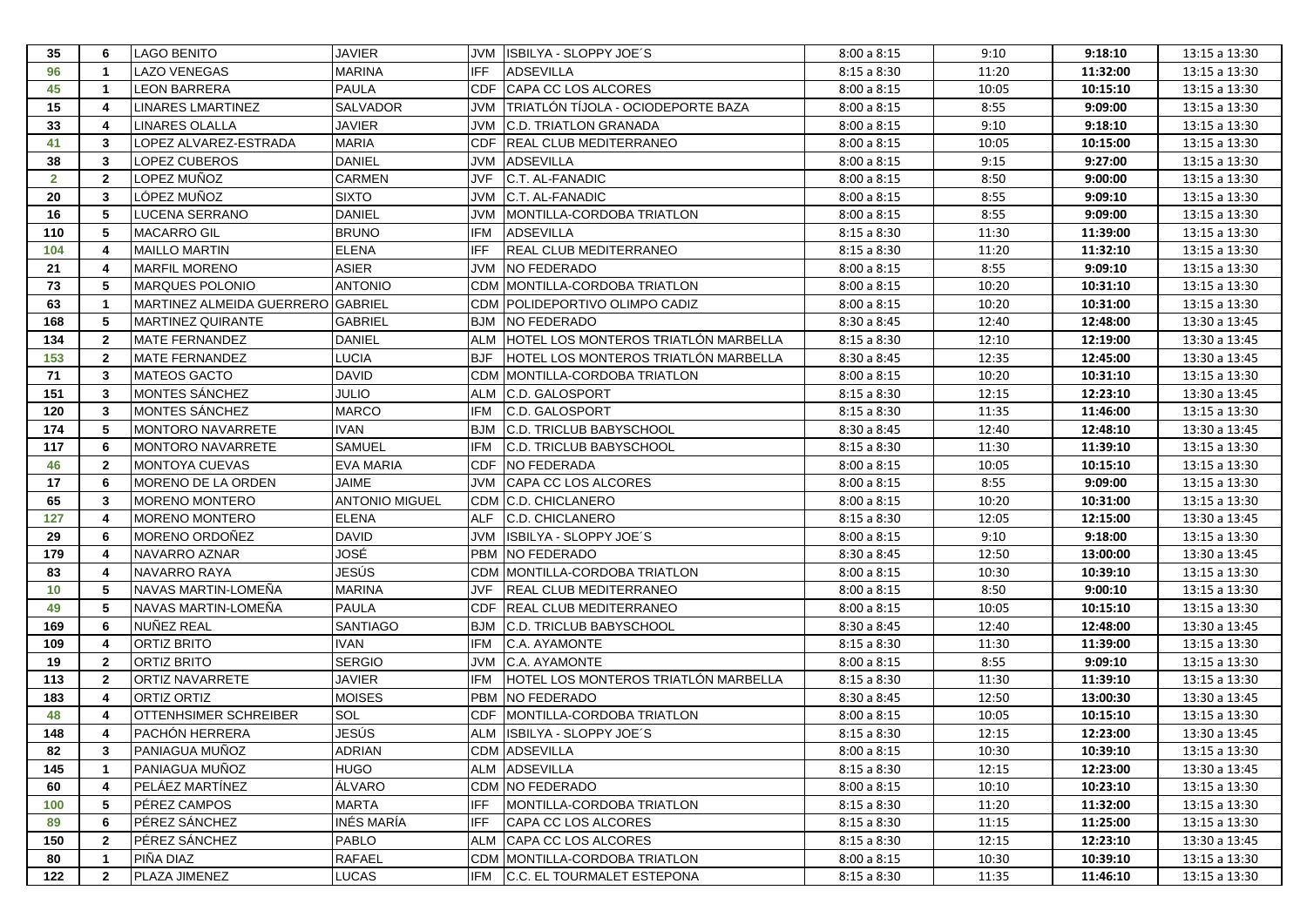| 35           | 6                       | <b>LAGO BENITO</b>                | JAVIER                |            | JVM ISBILYA - SLOPPY JOE'S           | 8:00a8:15   | 9:10  | 9:18:10  | 13:15 a 13:30 |
|--------------|-------------------------|-----------------------------------|-----------------------|------------|--------------------------------------|-------------|-------|----------|---------------|
| 96           | $\overline{1}$          | <b>LAZO VENEGAS</b>               | <b>MARINA</b>         | IFF        | <b>ADSEVILLA</b>                     | 8:15a8:30   | 11:20 | 11:32:00 | 13:15 a 13:30 |
| 45           | -1                      | <b>LEON BARRERA</b>               | <b>PAULA</b>          | <b>CDF</b> | <b>CAPA CC LOS ALCORES</b>           | 8:00a8:15   | 10:05 | 10:15:10 | 13:15 a 13:30 |
| 15           | $\overline{4}$          | LINARES LMARTINEZ                 | <b>SALVADOR</b>       | JVM        | TRIATLÓN TÍJOLA - OCIODEPORTE BAZA   | 8:00a8:15   | 8:55  | 9:09:00  | 13:15 a 13:30 |
| 33           | $\overline{4}$          | <b>LINARES OLALLA</b>             | <b>JAVIER</b>         | JVM        | <b>C.D. TRIATLON GRANADA</b>         | 8:00a8:15   | 9:10  | 9:18:10  | 13:15 a 13:30 |
| 41           | 3                       | LOPEZ ALVAREZ-ESTRADA             | <b>MARIA</b>          | <b>CDF</b> | <b>REAL CLUB MEDITERRANEO</b>        | 8:00a8:15   | 10:05 | 10:15:00 | 13:15 a 13:30 |
| 38           | 3                       | LOPEZ CUBEROS                     | <b>DANIEL</b>         | JVM        | <b>ADSEVILLA</b>                     | 8:00a8:15   | 9:15  | 9:27:00  | 13:15 a 13:30 |
| $\mathbf{2}$ | $\overline{2}$          | LOPEZ MUÑOZ                       | <b>CARMEN</b>         | <b>JVF</b> | C.T. AL-FANADIC                      | 8:00a8:15   | 8:50  | 9:00:00  | 13:15 a 13:30 |
| 20           | 3                       | LÓPEZ MUÑOZ                       | <b>SIXTO</b>          | <b>JVM</b> | <b>C.T. AL-FANADIC</b>               | 8:00a8:15   | 8:55  | 9:09:10  | 13:15 a 13:30 |
| 16           | 5                       | LUCENA SERRANO                    | <b>DANIEL</b>         | JVM        | MONTILLA-CORDOBA TRIATLON            | 8:00a8:15   | 8:55  | 9:09:00  | 13:15 a 13:30 |
| 110          | -5                      | <b>MACARRO GIL</b>                | <b>BRUNO</b>          | IFM        | ADSEVILLA                            | 8:15a8:30   | 11:30 | 11:39:00 | 13:15 a 13:30 |
| 104          | 4                       | <b>MAILLO MARTIN</b>              | <b>ELENA</b>          | <b>IFF</b> | <b>REAL CLUB MEDITERRANEO</b>        | 8:15a8:30   | 11:20 | 11:32:10 | 13:15 a 13:30 |
| 21           | 4                       | <b>MARFIL MORENO</b>              | ASIER                 | JVM        | <b>NO FEDERADO</b>                   | 8:00a8:15   | 8:55  | 9:09:10  | 13:15 a 13:30 |
| 73           | 5                       | MARQUES POLONIO                   | <b>ANTONIO</b>        |            | CDM MONTILLA-CORDOBA TRIATLON        | 8:00a8:15   | 10:20 | 10:31:10 | 13:15 a 13:30 |
| 63           | $\overline{\mathbf{1}}$ | MARTINEZ ALMEIDA GUERRERO GABRIEL |                       |            | CDM POLIDEPORTIVO OLIMPO CADIZ       | 8:00a8:15   | 10:20 | 10:31:00 | 13:15 a 13:30 |
| 168          | 5                       | <b>MARTINEZ QUIRANTE</b>          | <b>GABRIEL</b>        |            | <b>BJM NO FEDERADO</b>               | 8:30a8:45   | 12:40 | 12:48:00 | 13:30 a 13:45 |
| 134          | $\mathbf{2}$            | MATE FERNANDEZ                    | <b>DANIEL</b>         | ALM        | HOTEL LOS MONTEROS TRIATLÓN MARBELLA | 8:15a8:30   | 12:10 | 12:19:00 | 13:30 a 13:45 |
| 153          | $\overline{2}$          | <b>MATE FERNANDEZ</b>             | <b>LUCIA</b>          | <b>BJF</b> | HOTEL LOS MONTEROS TRIATLÓN MARBELLA | 8:30a8:45   | 12:35 | 12:45:00 | 13:30 a 13:45 |
| 71           | 3                       | <b>MATEOS GACTO</b>               | <b>DAVID</b>          | <b>CDM</b> | MONTILLA-CORDOBA TRIATLON            | 8:00a8:15   | 10:20 | 10:31:10 | 13:15 a 13:30 |
| 151          | 3                       | MONTES SÁNCHEZ                    | <b>JULIO</b>          | <b>ALM</b> | C.D. GALOSPORT                       | 8:15a8:30   | 12:15 | 12:23:10 | 13:30 a 13:45 |
| 120          | $\mathbf{3}$            | MONTES SÁNCHEZ                    | <b>MARCO</b>          | <b>IFM</b> | C.D. GALOSPORT                       | 8:15a8:30   | 11:35 | 11:46:00 | 13:15 a 13:30 |
| 174          | 5                       | <b>MONTORO NAVARRETE</b>          | <b>IVAN</b>           | <b>BJM</b> | <b>C.D. TRICLUB BABYSCHOOL</b>       | 8:30 a 8:45 | 12:40 | 12:48:10 | 13:30 a 13:45 |
| 117          | 6                       | <b>MONTORO NAVARRETE</b>          | <b>SAMUEL</b>         | <b>IFM</b> | <b>C.D. TRICLUB BABYSCHOOL</b>       | 8:15a8:30   | 11:30 | 11:39:10 | 13:15 a 13:30 |
| 46           | $\overline{2}$          | <b>MONTOYA CUEVAS</b>             | <b>EVA MARIA</b>      | CDF        | NO FEDERADA                          | 8:00a8:15   | 10:05 | 10:15:10 | 13:15 a 13:30 |
| 17           | 6                       | MORENO DE LA ORDEN                | <b>JAIME</b>          | <b>JVM</b> | CAPA CC LOS ALCORES                  | 8:00a8:15   | 8:55  | 9:09:00  | 13:15 a 13:30 |
| 65           | 3                       | <b>MORENO MONTERO</b>             | <b>ANTONIO MIGUEL</b> |            | CDM C.D. CHICLANERO                  | 8:00a8:15   | 10:20 | 10:31:00 | 13:15 a 13:30 |
| 127          | $\overline{4}$          | <b>MORENO MONTERO</b>             | <b>ELENA</b>          | <b>ALF</b> | C.D. CHICLANERO                      | 8:15a8:30   | 12:05 | 12:15:00 | 13:30 a 13:45 |
| 29           | 6                       | MORENO ORDOÑEZ                    | <b>DAVID</b>          | <b>NVL</b> | ISBILYA - SLOPPY JOE'S               | 8:00a8:15   | 9:10  | 9:18:00  | 13:15 a 13:30 |
| 179          | 4                       | NAVARRO AZNAR                     | JOSÉ                  |            | PBM NO FEDERADO                      | 8:30 a 8:45 | 12:50 | 13:00:00 | 13:30 a 13:45 |
| 83           | $\overline{4}$          | <b>NAVARRO RAYA</b>               | JESÚS                 |            | CDM MONTILLA-CORDOBA TRIATLON        | 8:00a8:15   | 10:30 | 10:39:10 | 13:15 a 13:30 |
| 10           | 5                       | NAVAS MARTIN-LOMEÑA               | <b>MARINA</b>         | <b>JVF</b> | <b>REAL CLUB MEDITERRANEO</b>        | 8:00a8:15   | 8:50  | 9:00:10  | 13:15 a 13:30 |
| 49           | 5                       | NAVAS MARTIN-LOMENA               | <b>PAULA</b>          | <b>CDF</b> | REAL CLUB MEDITERRANEO               | 8:00a8:15   | 10:05 | 10:15:10 | 13:15 a 13:30 |
| 169          | 6                       | NUÑEZ REAL                        | <b>SANTIAGO</b>       | <b>BJM</b> | C.D. TRICLUB BABYSCHOOL              | 8:30 a 8:45 | 12:40 | 12:48:00 | 13:30 a 13:45 |
| 109          | 4                       | <b>ORTIZ BRITO</b>                | <b>IVAN</b>           | <b>IFM</b> | <b>C.A. AYAMONTE</b>                 | 8:15a8:30   | 11:30 | 11:39:00 | 13:15 a 13:30 |
| 19           | $\overline{2}$          | ORTIZ BRITO                       | <b>SERGIO</b>         | <b>JVM</b> | C.A. AYAMONTE                        | 8:00a8:15   | 8:55  | 9:09:10  | 13:15 a 13:30 |
| 113          | $\overline{2}$          | ORTIZ NAVARRETE                   | JAVIER                | IFM        | HOTEL LOS MONTEROS TRIATLÓN MARBELLA | 8:15a8:30   | 11:30 | 11:39:10 | 13:15 a 13:30 |
| 183          | 4                       | ORTIZ ORTIZ                       | <b>MOISES</b>         | <b>PBM</b> | <b>NO FEDERADO</b>                   | 8:30a8:45   | 12:50 | 13:00:30 | 13:30 a 13:45 |
| 48           | 4                       | OTTENHSIMER SCHREIBER             | SOL                   | <b>CDF</b> | MONTILLA-CORDOBA TRIATLON            | 8:00a8:15   | 10:05 | 10:15:10 | 13:15 a 13:30 |
| 148          | 4                       | IPACHÓN HERRERA                   | JESÚS                 |            | ALM ISBILYA - SLOPPY JOE'S           | 8:15a8:30   | 12:15 | 12:23:00 | 13:30 a 13:45 |
| 82           | 3                       | PANIAGUA MUÑOZ                    | <b>ADRIAN</b>         |            | <b>CDM ADSEVILLA</b>                 | 8:00a8:15   | 10:30 | 10:39:10 | 13:15 a 13:30 |
| 145          | $\overline{\mathbf{1}}$ | PANIAGUA MUÑOZ                    | <b>HUGO</b>           |            | ALM ADSEVILLA                        | 8:15a8:30   | 12:15 | 12:23:00 | 13:30 a 13:45 |
| 60           | $\overline{4}$          | PELÁEZ MARTÍNEZ                   | ÁLVARO                |            | CDM NO FEDERADO                      | 8:00a8:15   | 10:10 | 10:23:10 | 13:15 a 13:30 |
| 100          | 5                       | <b>PÉREZ CAMPOS</b>               | <b>MARTA</b>          | <b>IFF</b> | MONTILLA-CORDOBA TRIATLON            | 8:15a8:30   | 11:20 | 11:32:00 | 13:15 a 13:30 |
| 89           | 6                       | PÉREZ SÁNCHEZ                     | INÉS MARÍA            | <b>IFF</b> | CAPA CC LOS ALCORES                  | 8:15a8:30   | 11:15 | 11:25:00 | 13:15 a 13:30 |
| 150          | $\overline{2}$          | PÉREZ SÁNCHEZ                     | <b>PABLO</b>          |            | ALM CAPA CC LOS ALCORES              | 8:15a8:30   | 12:15 | 12:23:10 | 13:30 a 13:45 |
| 80           | $\overline{\mathbf{1}}$ | PIÑA DIAZ                         | <b>RAFAEL</b>         |            | CDM MONTILLA-CORDOBA TRIATLON        | 8:00a8:15   | 10:30 | 10:39:10 | 13:15 a 13:30 |
| 122          | $\overline{2}$          | PLAZA JIMENEZ                     | LUCAS                 |            | IFM C.C. EL TOURMALET ESTEPONA       | 8:15a8:30   | 11:35 | 11:46:10 | 13:15 a 13:30 |